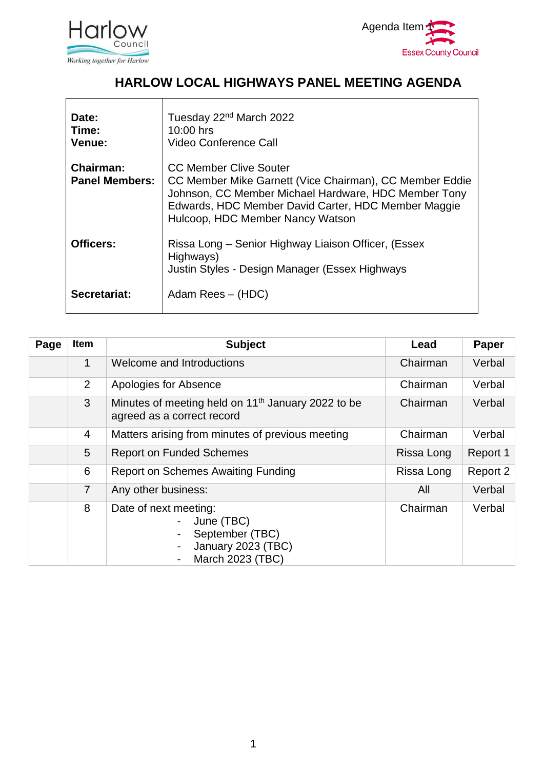



## **HARLOW LOCAL HIGHWAYS PANEL MEETING AGENDA**

| Date:<br>Time:<br>Venue:                  | Tuesday 22 <sup>nd</sup> March 2022<br>10:00 hrs<br>Video Conference Call                                                                                                                                                                   |
|-------------------------------------------|---------------------------------------------------------------------------------------------------------------------------------------------------------------------------------------------------------------------------------------------|
| <b>Chairman:</b><br><b>Panel Members:</b> | <b>CC Member Clive Souter</b><br>CC Member Mike Garnett (Vice Chairman), CC Member Eddie<br>Johnson, CC Member Michael Hardware, HDC Member Tony<br>Edwards, HDC Member David Carter, HDC Member Maggie<br>Hulcoop, HDC Member Nancy Watson |
| Officers:                                 | Rissa Long – Senior Highway Liaison Officer, (Essex<br>Highways)<br>Justin Styles - Design Manager (Essex Highways                                                                                                                          |
| Secretariat:                              | Adam Rees - (HDC)                                                                                                                                                                                                                           |

| Page | Item           | <b>Subject</b>                                                                                   | Lead       | Paper    |
|------|----------------|--------------------------------------------------------------------------------------------------|------------|----------|
|      | 1              | Welcome and Introductions                                                                        | Chairman   | Verbal   |
|      | 2              | Apologies for Absence                                                                            | Chairman   | Verbal   |
|      | $\mathbf{3}$   | Minutes of meeting held on 11 <sup>th</sup> January 2022 to be<br>agreed as a correct record     | Chairman   | Verbal   |
|      | $\overline{4}$ | Matters arising from minutes of previous meeting                                                 | Chairman   | Verbal   |
|      | 5              | <b>Report on Funded Schemes</b>                                                                  | Rissa Long | Report 1 |
|      | 6              | <b>Report on Schemes Awaiting Funding</b>                                                        | Rissa Long | Report 2 |
|      | $\overline{7}$ | Any other business:                                                                              | All        | Verbal   |
|      | 8              | Date of next meeting:<br>June (TBC)<br>September (TBC)<br>January 2023 (TBC)<br>March 2023 (TBC) | Chairman   | Verbal   |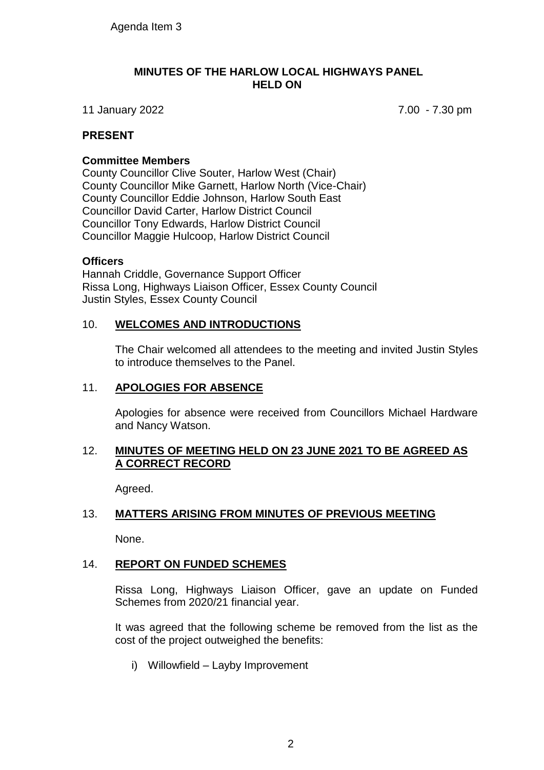#### **MINUTES OF THE HARLOW LOCAL HIGHWAYS PANEL HELD ON**

11 January 2022 7.00 - 7.30 pm

### **PRESENT**

#### **Committee Members**

County Councillor Clive Souter, Harlow West (Chair) County Councillor Mike Garnett, Harlow North (Vice-Chair) County Councillor Eddie Johnson, Harlow South East Councillor David Carter, Harlow District Council Councillor Tony Edwards, Harlow District Council Councillor Maggie Hulcoop, Harlow District Council

#### **Officers**

Hannah Criddle, Governance Support Officer Rissa Long, Highways Liaison Officer, Essex County Council Justin Styles, Essex County Council

### 10. **WELCOMES AND INTRODUCTIONS**

The Chair welcomed all attendees to the meeting and invited Justin Styles to introduce themselves to the Panel.

### 11. **APOLOGIES FOR ABSENCE**

Apologies for absence were received from Councillors Michael Hardware and Nancy Watson.

### 12. **MINUTES OF MEETING HELD ON 23 JUNE 2021 TO BE AGREED AS A CORRECT RECORD**

Agreed.

### 13. **MATTERS ARISING FROM MINUTES OF PREVIOUS MEETING**

None.

### 14. **REPORT ON FUNDED SCHEMES**

Rissa Long, Highways Liaison Officer, gave an update on Funded Schemes from 2020/21 financial year.

It was agreed that the following scheme be removed from the list as the cost of the project outweighed the benefits:

i) Willowfield – Layby Improvement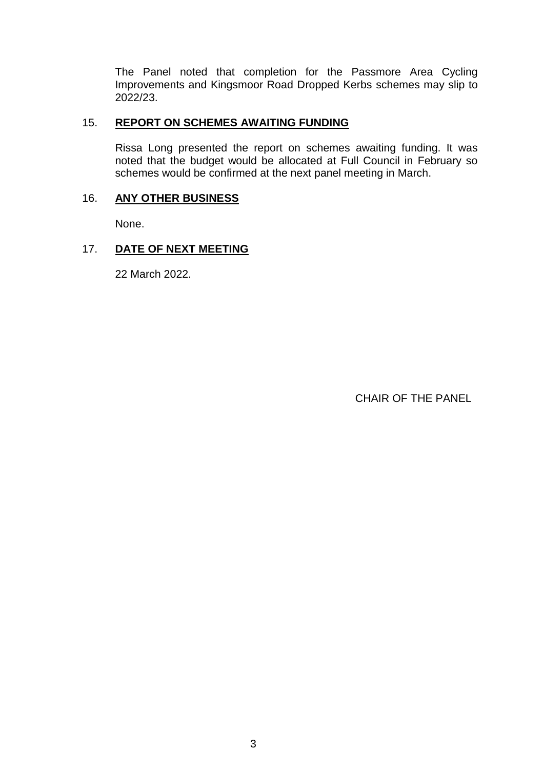The Panel noted that completion for the Passmore Area Cycling Improvements and Kingsmoor Road Dropped Kerbs schemes may slip to 2022/23.

#### 15. **REPORT ON SCHEMES AWAITING FUNDING**

Rissa Long presented the report on schemes awaiting funding. It was noted that the budget would be allocated at Full Council in February so schemes would be confirmed at the next panel meeting in March.

### 16. **ANY OTHER BUSINESS**

None.

### 17. **DATE OF NEXT MEETING**

22 March 2022.

CHAIR OF THE PANEL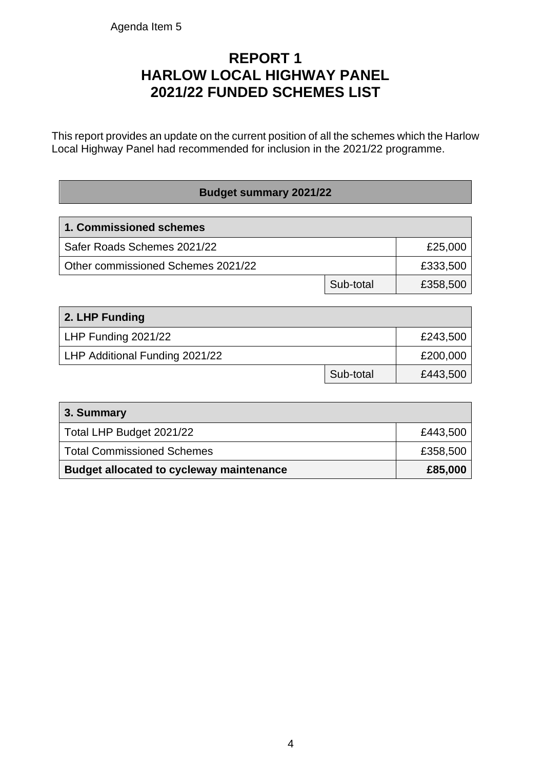## **REPORT 1 HARLOW LOCAL HIGHWAY PANEL 2021/22 FUNDED SCHEMES LIST**

This report provides an update on the current position of all the schemes which the Harlow Local Highway Panel had recommended for inclusion in the 2021/22 programme.

### **Budget summary 2021/22**

| 1. Commissioned schemes            |           |          |
|------------------------------------|-----------|----------|
| Safer Roads Schemes 2021/22        |           | £25,000  |
| Other commissioned Schemes 2021/22 |           | £333,500 |
|                                    | Sub-total | £358,500 |

| 2. LHP Funding                 |           |          |
|--------------------------------|-----------|----------|
| LHP Funding 2021/22            |           | £243,500 |
| LHP Additional Funding 2021/22 |           | £200,000 |
|                                | Sub-total | £443,500 |

| 3. Summary                                      |          |
|-------------------------------------------------|----------|
| Total LHP Budget 2021/22                        | £443,500 |
| <b>Total Commissioned Schemes</b>               | £358,500 |
| <b>Budget allocated to cycleway maintenance</b> | £85,000  |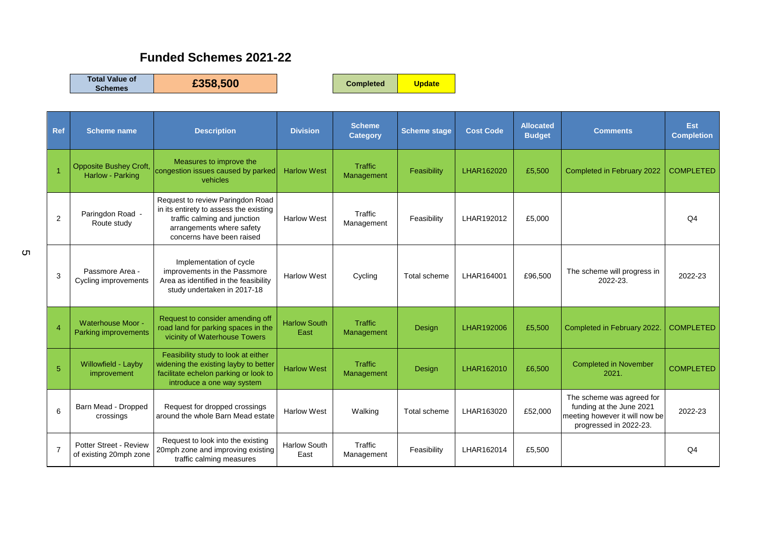## **Funded Schemes 2021-22**

**Total Value of** 

**Schemes £358,500 Completed Update**

| Ref            | <b>Scheme name</b>                                      | <b>Description</b>                                                                                                                                                   | <b>Division</b>             | <b>Scheme</b><br><b>Category</b> | <b>Scheme stage</b> | <b>Cost Code</b> | <b>Allocated</b><br><b>Budget</b> | <b>Comments</b>                                                                                                   | Est<br><b>Completion</b> |
|----------------|---------------------------------------------------------|----------------------------------------------------------------------------------------------------------------------------------------------------------------------|-----------------------------|----------------------------------|---------------------|------------------|-----------------------------------|-------------------------------------------------------------------------------------------------------------------|--------------------------|
|                | <b>Opposite Bushey Croft,</b><br>Harlow - Parking       | Measures to improve the<br>congestion issues caused by parked<br>vehicles                                                                                            | <b>Harlow West</b>          | <b>Traffic</b><br>Management     | Feasibility         | LHAR162020       | £5,500                            | Completed in February 2022                                                                                        | <b>COMPLETED</b>         |
| 2              | Paringdon Road -<br>Route study                         | Request to review Paringdon Road<br>in its entirety to assess the existing<br>traffic calming and junction<br>arrangements where safety<br>concerns have been raised | <b>Harlow West</b>          | Traffic<br>Management            | Feasibility         | LHAR192012       | £5,000                            |                                                                                                                   | Q <sub>4</sub>           |
| 3              | Passmore Area -<br>Cycling improvements                 | Implementation of cycle<br>improvements in the Passmore<br>Area as identified in the feasibility<br>study undertaken in 2017-18                                      | <b>Harlow West</b>          | Cycling                          | Total scheme        | LHAR164001       | £96,500                           | The scheme will progress in<br>2022-23.                                                                           | 2022-23                  |
| $\overline{4}$ | <b>Waterhouse Moor -</b><br><b>Parking improvements</b> | Request to consider amending off<br>road land for parking spaces in the<br>vicinity of Waterhouse Towers                                                             | <b>Harlow South</b><br>East | <b>Traffic</b><br>Management     | Design              | LHAR192006       | £5,500                            | Completed in February 2022                                                                                        | <b>COMPLETED</b>         |
| 5              | Willowfield - Layby<br>improvement                      | Feasibility study to look at either<br>widening the existing layby to better<br>facilitate echelon parking or look to<br>introduce a one way system                  | <b>Harlow West</b>          | <b>Traffic</b><br>Management     | Design              | LHAR162010       | £6,500                            | <b>Completed in November</b><br>2021.                                                                             | <b>COMPLETED</b>         |
| 6              | Barn Mead - Dropped<br>crossings                        | Request for dropped crossings<br>around the whole Barn Mead estate                                                                                                   | <b>Harlow West</b>          | Walking                          | Total scheme        | LHAR163020       | £52,000                           | The scheme was agreed for<br>funding at the June 2021<br>meeting however it will now be<br>progressed in 2022-23. | 2022-23                  |
| $\overline{7}$ | Potter Street - Review<br>of existing 20mph zone        | Request to look into the existing<br>20mph zone and improving existing<br>traffic calming measures                                                                   | <b>Harlow South</b><br>East | Traffic<br>Management            | Feasibility         | LHAR162014       | £5,500                            |                                                                                                                   | Q <sub>4</sub>           |

5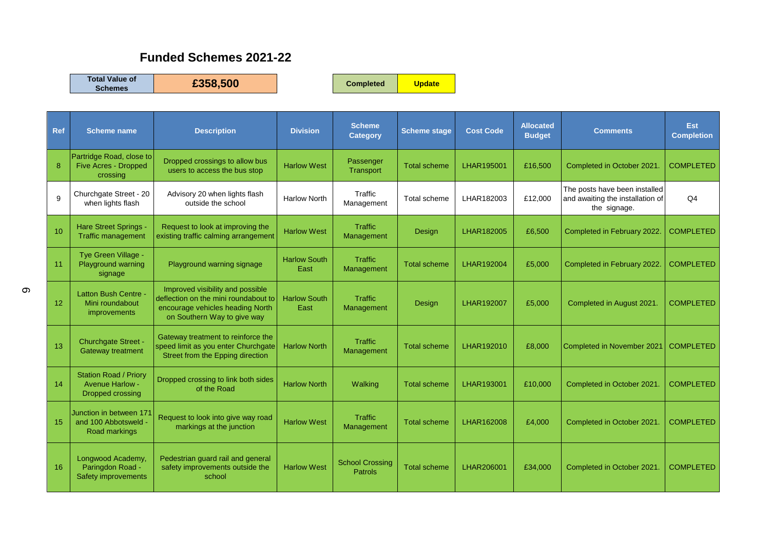## **Funded Schemes 2021-22**

**Total Value of** 

**Schemes £358,500 Completed Update**

| <b>Ref</b> | <b>Scheme name</b>                                                         | <b>Description</b>                                                                                                                          | <b>Division</b>             | <b>Scheme</b><br><b>Category</b>         | <b>Scheme stage</b> | <b>Cost Code</b> | <b>Allocated</b><br><b>Budget</b> | <b>Comments</b>                                                                   | <b>Est</b><br><b>Completion</b> |
|------------|----------------------------------------------------------------------------|---------------------------------------------------------------------------------------------------------------------------------------------|-----------------------------|------------------------------------------|---------------------|------------------|-----------------------------------|-----------------------------------------------------------------------------------|---------------------------------|
| 8          | Partridge Road, close to<br><b>Five Acres - Dropped</b><br>crossing        | Dropped crossings to allow bus<br>users to access the bus stop                                                                              | <b>Harlow West</b>          | Passenger<br>Transport                   | <b>Total scheme</b> | LHAR195001       | £16,500                           | Completed in October 2021                                                         | <b>COMPLETED</b>                |
| 9          | Churchgate Street - 20<br>when lights flash                                | Advisory 20 when lights flash<br>outside the school                                                                                         | <b>Harlow North</b>         | Traffic<br>Management                    | Total scheme        | LHAR182003       | £12,000                           | The posts have been installed<br>and awaiting the installation of<br>the signage. | Q <sub>4</sub>                  |
| 10         | <b>Hare Street Springs</b><br><b>Traffic management</b>                    | Request to look at improving the<br>existing traffic calming arrangement                                                                    | <b>Harlow West</b>          | <b>Traffic</b><br>Management             | Design              | LHAR182005       | £6,500                            | Completed in February 2022                                                        | <b>COMPLETED</b>                |
| 11         | Tye Green Village -<br>Playground warning<br>signage                       | Playground warning signage                                                                                                                  | <b>Harlow South</b><br>East | Traffic<br>Management                    | <b>Total scheme</b> | LHAR192004       | £5,000                            | Completed in February 2022                                                        | <b>COMPLETED</b>                |
| 12         | <b>Latton Bush Centre -</b><br>Mini roundabout<br>improvements             | Improved visibility and possible<br>deflection on the mini roundabout to<br>encourage vehicles heading North<br>on Southern Way to give way | <b>Harlow South</b><br>East | Traffic<br>Management                    | Design              | LHAR192007       | £5,000                            | Completed in August 2021.                                                         | <b>COMPLETED</b>                |
| 13         | <b>Churchgate Street -</b><br><b>Gateway treatment</b>                     | Gateway treatment to reinforce the<br>speed limit as you enter Churchgate<br>Street from the Epping direction                               | <b>Harlow North</b>         | Traffic<br>Management                    | <b>Total scheme</b> | LHAR192010       | £8,000                            | <b>Completed in November 2021</b>                                                 | <b>COMPLETED</b>                |
| 14         | <b>Station Road / Priory</b><br><b>Avenue Harlow -</b><br>Dropped crossing | Dropped crossing to link both sides<br>of the Road                                                                                          | <b>Harlow North</b>         | Walking                                  | <b>Total scheme</b> | LHAR193001       | £10,000                           | Completed in October 2021                                                         | <b>COMPLETED</b>                |
| 15         | Junction in between 17<br>and 100 Abbotsweld -<br>Road markings            | Request to look into give way road<br>markings at the junction                                                                              | <b>Harlow West</b>          | <b>Traffic</b><br>Management             | <b>Total scheme</b> | LHAR162008       | £4,000                            | Completed in October 2021.                                                        | <b>COMPLETED</b>                |
| 16         | Longwood Academy,<br>Paringdon Road -<br>Safety improvements               | Pedestrian guard rail and general<br>safety improvements outside the<br>school                                                              | <b>Harlow West</b>          | <b>School Crossing</b><br><b>Patrols</b> | <b>Total scheme</b> | LHAR206001       | £34,000                           | Completed in October 2021                                                         | <b>COMPLETED</b>                |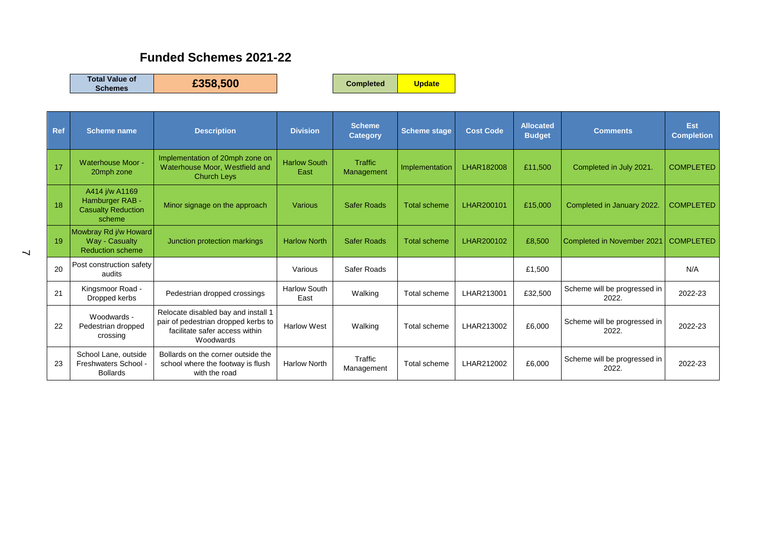## **Funded Schemes 2021-22**

**Total Value of** 

**Schemes £358,500 Completed Update**

| Ref | <b>Scheme name</b>                                                       | <b>Description</b>                                                                                                        | <b>Division</b>             | <b>Scheme</b><br><b>Category</b> | <b>Scheme stage</b> | <b>Cost Code</b> | <b>Allocated</b><br><b>Budget</b> | <b>Comments</b>                       | Est<br><b>Completion</b> |
|-----|--------------------------------------------------------------------------|---------------------------------------------------------------------------------------------------------------------------|-----------------------------|----------------------------------|---------------------|------------------|-----------------------------------|---------------------------------------|--------------------------|
| 17  | Waterhouse Moor -<br>20mph zone                                          | Implementation of 20mph zone on<br>Waterhouse Moor, Westfield and<br><b>Church Leys</b>                                   | <b>Harlow South</b><br>East | <b>Traffic</b><br>Management     | Implementation      | LHAR182008       | £11,500                           | Completed in July 2021.               | <b>COMPLETED</b>         |
| 18  | A414 j/w A1169<br>Hamburger RAB -<br><b>Casualty Reduction</b><br>scheme | Minor signage on the approach                                                                                             | <b>Various</b>              | <b>Safer Roads</b>               | <b>Total scheme</b> | LHAR200101       | £15,000                           | Completed in January 2022.            | <b>COMPLETED</b>         |
| 19  | Mowbray Rd j/w Howard<br>Way - Casualty<br><b>Reduction scheme</b>       | Junction protection markings                                                                                              | <b>Harlow North</b>         | <b>Safer Roads</b>               | <b>Total scheme</b> | LHAR200102       | £8,500                            | <b>Completed in November 2021</b>     | <b>COMPLETED</b>         |
| 20  | Post construction safety<br>audits                                       |                                                                                                                           | Various                     | Safer Roads                      |                     |                  | £1,500                            |                                       | N/A                      |
| 21  | Kingsmoor Road -<br>Dropped kerbs                                        | Pedestrian dropped crossings                                                                                              | <b>Harlow South</b><br>East | Walking                          | Total scheme        | LHAR213001       | £32,500                           | Scheme will be progressed in<br>2022. | 2022-23                  |
| 22  | Woodwards -<br>Pedestrian dropped<br>crossing                            | Relocate disabled bay and install 1<br>pair of pedestrian dropped kerbs to<br>facilitate safer access within<br>Woodwards | <b>Harlow West</b>          | Walking                          | Total scheme        | LHAR213002       | £6,000                            | Scheme will be progressed in<br>2022. | 2022-23                  |
| 23  | School Lane, outside<br>Freshwaters School -<br><b>Bollards</b>          | Bollards on the corner outside the<br>school where the footway is flush<br>with the road                                  | <b>Harlow North</b>         | Traffic<br>Management            | Total scheme        | LHAR212002       | £6,000                            | Scheme will be progressed in<br>2022. | 2022-23                  |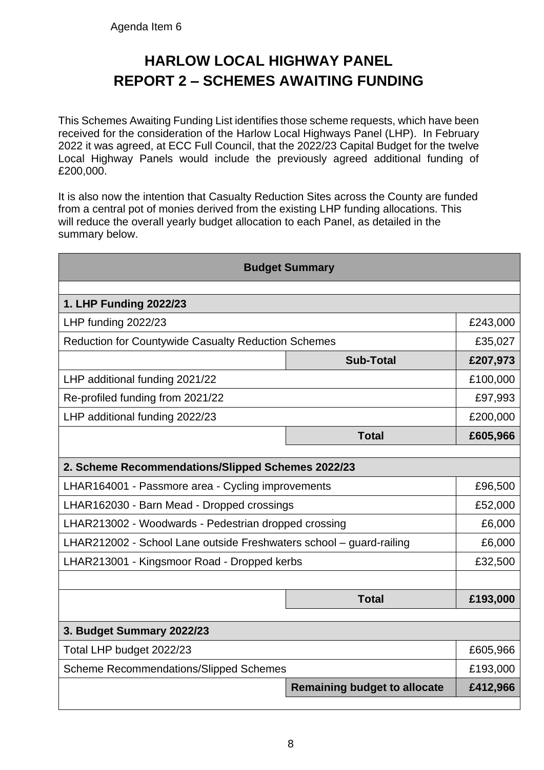## **HARLOW LOCAL HIGHWAY PANEL REPORT 2 – SCHEMES AWAITING FUNDING**

This Schemes Awaiting Funding List identifies those scheme requests, which have been received for the consideration of the Harlow Local Highways Panel (LHP). In February 2022 it was agreed, at ECC Full Council, that the 2022/23 Capital Budget for the twelve Local Highway Panels would include the previously agreed additional funding of £200,000.

It is also now the intention that Casualty Reduction Sites across the County are funded from a central pot of monies derived from the existing LHP funding allocations. This will reduce the overall yearly budget allocation to each Panel, as detailed in the summary below.

| <b>Budget Summary</b>                                               |                                     |          |  |
|---------------------------------------------------------------------|-------------------------------------|----------|--|
|                                                                     |                                     |          |  |
| 1. LHP Funding 2022/23                                              |                                     |          |  |
| LHP funding 2022/23                                                 |                                     | £243,000 |  |
| <b>Reduction for Countywide Casualty Reduction Schemes</b>          |                                     | £35,027  |  |
|                                                                     | <b>Sub-Total</b>                    | £207,973 |  |
| LHP additional funding 2021/22                                      |                                     | £100,000 |  |
| Re-profiled funding from 2021/22                                    |                                     | £97,993  |  |
| LHP additional funding 2022/23                                      |                                     | £200,000 |  |
|                                                                     | <b>Total</b>                        | £605,966 |  |
|                                                                     |                                     |          |  |
| 2. Scheme Recommendations/Slipped Schemes 2022/23                   |                                     |          |  |
| LHAR164001 - Passmore area - Cycling improvements                   |                                     | £96,500  |  |
| LHAR162030 - Barn Mead - Dropped crossings                          |                                     |          |  |
| LHAR213002 - Woodwards - Pedestrian dropped crossing                |                                     | £6,000   |  |
| LHAR212002 - School Lane outside Freshwaters school - guard-railing |                                     |          |  |
| LHAR213001 - Kingsmoor Road - Dropped kerbs                         |                                     | £32,500  |  |
|                                                                     |                                     |          |  |
|                                                                     | <b>Total</b>                        | £193,000 |  |
|                                                                     |                                     |          |  |
| 3. Budget Summary 2022/23                                           |                                     |          |  |
| Total LHP budget 2022/23                                            |                                     | £605,966 |  |
| <b>Scheme Recommendations/Slipped Schemes</b>                       |                                     | £193,000 |  |
|                                                                     | <b>Remaining budget to allocate</b> | £412,966 |  |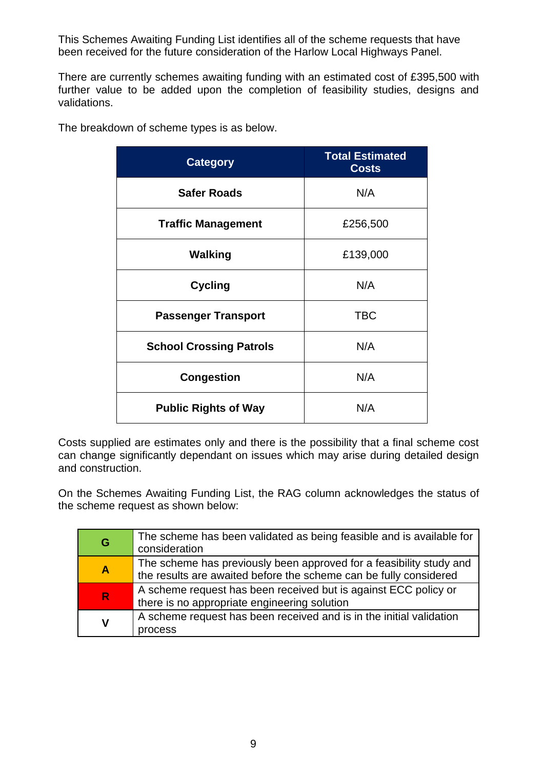This Schemes Awaiting Funding List identifies all of the scheme requests that have been received for the future consideration of the Harlow Local Highways Panel.

There are currently schemes awaiting funding with an estimated cost of £395,500 with further value to be added upon the completion of feasibility studies, designs and validations.

| <b>Category</b>                | <b>Total Estimated</b><br><b>Costs</b> |
|--------------------------------|----------------------------------------|
| <b>Safer Roads</b>             | N/A                                    |
| <b>Traffic Management</b>      | £256,500                               |
| <b>Walking</b>                 | £139,000                               |
| <b>Cycling</b>                 | N/A                                    |
| <b>Passenger Transport</b>     | <b>TBC</b>                             |
| <b>School Crossing Patrols</b> | N/A                                    |
| <b>Congestion</b>              | N/A                                    |
| <b>Public Rights of Way</b>    | N/A                                    |

The breakdown of scheme types is as below.

Costs supplied are estimates only and there is the possibility that a final scheme cost can change significantly dependant on issues which may arise during detailed design and construction.

On the Schemes Awaiting Funding List, the RAG column acknowledges the status of the scheme request as shown below:

| G              | The scheme has been validated as being feasible and is available for<br>consideration                                                    |
|----------------|------------------------------------------------------------------------------------------------------------------------------------------|
| $\overline{A}$ | The scheme has previously been approved for a feasibility study and<br>the results are awaited before the scheme can be fully considered |
| R              | A scheme request has been received but is against ECC policy or<br>there is no appropriate engineering solution                          |
| V              | A scheme request has been received and is in the initial validation<br>rocess                                                            |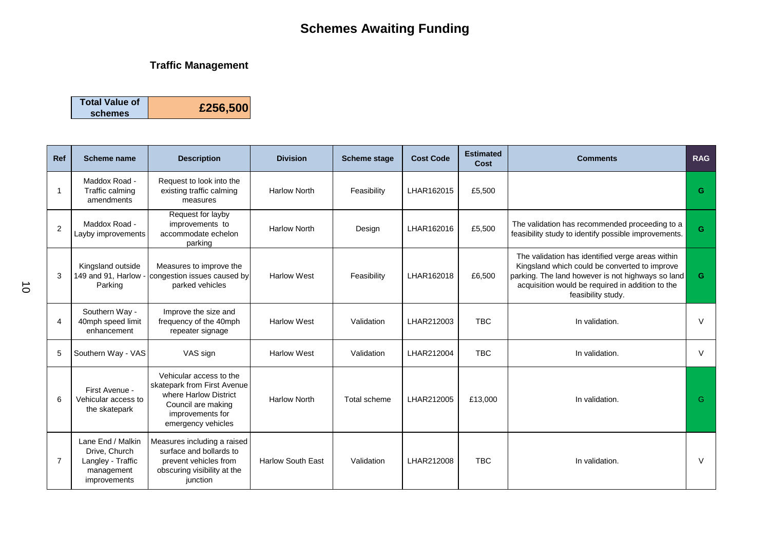### **Traffic Management**

| <b>Total Value of</b><br>schemes | £256,500 |
|----------------------------------|----------|
|----------------------------------|----------|

| <b>Ref</b>     | <b>Scheme name</b>                                                                    | <b>Description</b>                                                                                                                              | <b>Division</b>          | <b>Scheme stage</b> | <b>Cost Code</b> | <b>Estimated</b><br>Cost | <b>Comments</b>                                                                                                                                                                                                                  | <b>RAG</b> |
|----------------|---------------------------------------------------------------------------------------|-------------------------------------------------------------------------------------------------------------------------------------------------|--------------------------|---------------------|------------------|--------------------------|----------------------------------------------------------------------------------------------------------------------------------------------------------------------------------------------------------------------------------|------------|
| 1              | Maddox Road -<br>Traffic calming<br>amendments                                        | Request to look into the<br>existing traffic calming<br>measures                                                                                | <b>Harlow North</b>      | Feasibility         | LHAR162015       | £5,500                   |                                                                                                                                                                                                                                  | G          |
| 2              | Maddox Road -<br>Layby improvements                                                   | Request for layby<br>improvements to<br>accommodate echelon<br>parking                                                                          | <b>Harlow North</b>      | Design              | LHAR162016       | £5,500                   | The validation has recommended proceeding to a<br>feasibility study to identify possible improvements.                                                                                                                           | G          |
| 3              | Kingsland outside<br>149 and 91, Harlow -<br>Parking                                  | Measures to improve the<br>congestion issues caused by<br>parked vehicles                                                                       | <b>Harlow West</b>       | Feasibility         | LHAR162018       | £6,500                   | The validation has identified verge areas within<br>Kingsland which could be converted to improve<br>parking. The land however is not highways so land<br>acquisition would be required in addition to the<br>feasibility study. | G.         |
| 4              | Southern Way -<br>40mph speed limit<br>enhancement                                    | Improve the size and<br>frequency of the 40mph<br>repeater signage                                                                              | <b>Harlow West</b>       | Validation          | LHAR212003       | <b>TBC</b>               | In validation.                                                                                                                                                                                                                   | $\vee$     |
| 5              | Southern Way - VAS                                                                    | VAS sign                                                                                                                                        | <b>Harlow West</b>       | Validation          | LHAR212004       | <b>TBC</b>               | In validation.                                                                                                                                                                                                                   | $\vee$     |
| 6              | First Avenue -<br>Vehicular access to<br>the skatepark                                | Vehicular access to the<br>skatepark from First Avenue<br>where Harlow District<br>Council are making<br>improvements for<br>emergency vehicles | <b>Harlow North</b>      | Total scheme        | LHAR212005       | £13,000                  | In validation.                                                                                                                                                                                                                   | G          |
| $\overline{7}$ | Lane End / Malkin<br>Drive, Church<br>Langley - Traffic<br>management<br>improvements | Measures including a raised<br>surface and bollards to<br>prevent vehicles from<br>obscuring visibility at the<br>junction                      | <b>Harlow South East</b> | Validation          | LHAR212008       | <b>TBC</b>               | In validation.                                                                                                                                                                                                                   | $\vee$     |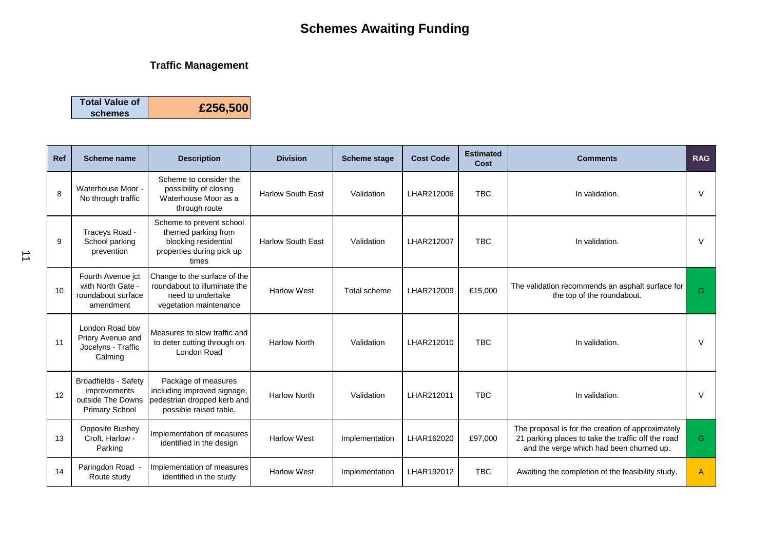### **Traffic Management**

| schemes | <b>Total Value of</b> | £256,500 |
|---------|-----------------------|----------|
|---------|-----------------------|----------|

| Ref | <b>Scheme name</b>                                                                        | <b>Description</b>                                                                                            | <b>Division</b>          | <b>Scheme stage</b> | <b>Cost Code</b> | <b>Estimated</b><br>Cost | <b>Comments</b>                                                                                                                                     | <b>RAG</b> |
|-----|-------------------------------------------------------------------------------------------|---------------------------------------------------------------------------------------------------------------|--------------------------|---------------------|------------------|--------------------------|-----------------------------------------------------------------------------------------------------------------------------------------------------|------------|
| 8   | Waterhouse Moor -<br>No through traffic                                                   | Scheme to consider the<br>possibility of closing<br>Waterhouse Moor as a<br>through route                     | <b>Harlow South East</b> | Validation          | LHAR212006       | <b>TBC</b>               | In validation.                                                                                                                                      | V          |
| 9   | Traceys Road -<br>School parking<br>prevention                                            | Scheme to prevent school<br>themed parking from<br>blocking residential<br>properties during pick up<br>times | <b>Harlow South East</b> | Validation          | LHAR212007       | <b>TBC</b>               | In validation.                                                                                                                                      | $\vee$     |
| 10  | Fourth Avenue jct<br>with North Gate -<br>roundabout surface<br>amendment                 | Change to the surface of the<br>roundabout to illuminate the<br>need to undertake<br>vegetation maintenance   | <b>Harlow West</b>       | Total scheme        | LHAR212009       | £15,000                  | The validation recommends an asphalt surface for<br>the top of the roundabout.                                                                      | G          |
| 11  | London Road btw<br>Priory Avenue and<br>Jocelyns - Traffic<br>Calming                     | Measures to slow traffic and<br>to deter cutting through on<br>London Road                                    | <b>Harlow North</b>      | Validation          | LHAR212010       | <b>TBC</b>               | In validation.                                                                                                                                      | V          |
| 12  | <b>Broadfields - Safety</b><br>improvements<br>outside The Downs<br><b>Primary School</b> | Package of measures<br>including improved signage,<br>pedestrian dropped kerb and<br>possible raised table.   | <b>Harlow North</b>      | Validation          | LHAR212011       | <b>TBC</b>               | In validation.                                                                                                                                      | $\vee$     |
| 13  | <b>Opposite Bushey</b><br>Croft, Harlow -<br>Parking                                      | Implementation of measures<br>identified in the design                                                        | <b>Harlow West</b>       | Implementation      | LHAR162020       | £97,000                  | The proposal is for the creation of approximately<br>21 parking places to take the traffic off the road<br>and the verge which had been churned up. | G.         |
| 14  | Paringdon Road -<br>Route study                                                           | Implementation of measures<br>identified in the study                                                         | <b>Harlow West</b>       | Implementation      | LHAR192012       | <b>TBC</b>               | Awaiting the completion of the feasibility study.                                                                                                   | A          |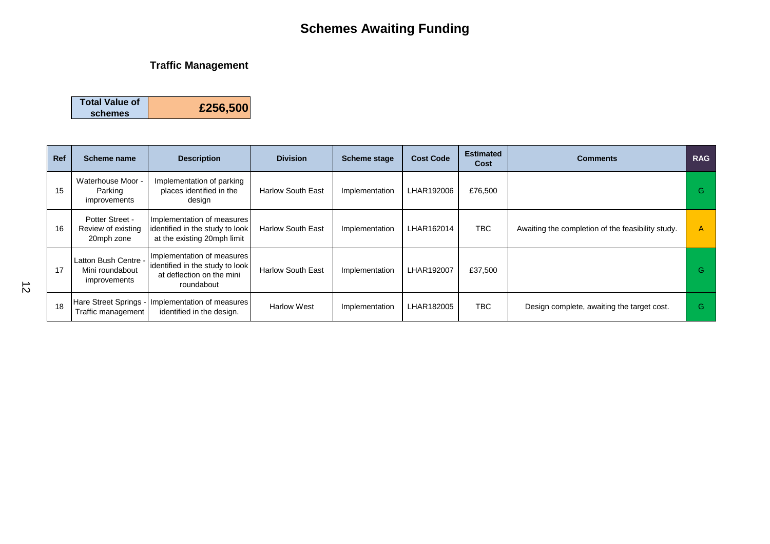### **Traffic Management**

| <b>Total Value of</b> | £256,500 |
|-----------------------|----------|
| schemes               |          |

| <b>Ref</b> | Scheme name                                             | <b>Description</b>                                                                                       | <b>Division</b>          | <b>Scheme stage</b> | <b>Cost Code</b> | <b>Estimated</b><br>Cost | <b>Comments</b>                                   | <b>RAG</b> |
|------------|---------------------------------------------------------|----------------------------------------------------------------------------------------------------------|--------------------------|---------------------|------------------|--------------------------|---------------------------------------------------|------------|
| 15         | Waterhouse Moor -<br>Parking<br>improvements            | Implementation of parking<br>places identified in the<br>design                                          | <b>Harlow South East</b> | Implementation      | LHAR192006       | £76,500                  |                                                   | G.         |
| 16         | Potter Street -<br>Review of existing<br>20mph zone     | Implementation of measures<br>identified in the study to look<br>at the existing 20mph limit             | <b>Harlow South East</b> | Implementation      | LHAR162014       | <b>TBC</b>               | Awaiting the completion of the feasibility study. | A          |
| 17         | Latton Bush Centre -<br>Mini roundabout<br>improvements | Implementation of measures<br>identified in the study to look<br>at deflection on the mini<br>roundabout | <b>Harlow South East</b> | Implementation      | LHAR192007       | £37,500                  |                                                   | G.         |
| 18         | Hare Street Springs -<br>Traffic management             | Implementation of measures<br>identified in the design.                                                  | <b>Harlow West</b>       | Implementation      | LHAR182005       | <b>TBC</b>               | Design complete, awaiting the target cost.        | G.         |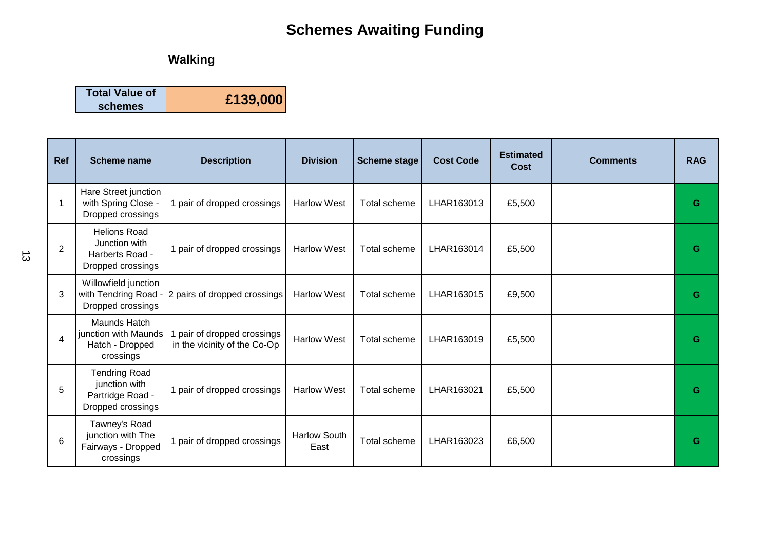## **Walking**

| <b>Total Value of</b> | £139,000 |
|-----------------------|----------|
| schemes               |          |

| Ref            | <b>Scheme name</b>                                                             | <b>Description</b>                                        | <b>Division</b>             | <b>Scheme stage</b> | <b>Cost Code</b> | <b>Estimated</b><br>Cost | <b>Comments</b> | <b>RAG</b> |
|----------------|--------------------------------------------------------------------------------|-----------------------------------------------------------|-----------------------------|---------------------|------------------|--------------------------|-----------------|------------|
| 1              | Hare Street junction<br>with Spring Close -<br>Dropped crossings               | 1 pair of dropped crossings                               | <b>Harlow West</b>          | <b>Total scheme</b> | LHAR163013       | £5,500                   |                 | G          |
| $\overline{2}$ | <b>Helions Road</b><br>Junction with<br>Harberts Road -<br>Dropped crossings   | 1 pair of dropped crossings                               | <b>Harlow West</b>          | Total scheme        | LHAR163014       | £5,500                   |                 | G          |
| 3              | Willowfield junction<br>with Tendring Road -<br>Dropped crossings              | 2 pairs of dropped crossings                              | <b>Harlow West</b>          | Total scheme        | LHAR163015       | £9,500                   |                 | G          |
| 4              | Maunds Hatch<br>junction with Maunds<br>Hatch - Dropped<br>crossings           | pair of dropped crossings<br>in the vicinity of the Co-Op | <b>Harlow West</b>          | Total scheme        | LHAR163019       | £5,500                   |                 | G          |
| 5              | <b>Tendring Road</b><br>junction with<br>Partridge Road -<br>Dropped crossings | 1 pair of dropped crossings                               | <b>Harlow West</b>          | Total scheme        | LHAR163021       | £5,500                   |                 | G          |
| 6              | Tawney's Road<br>junction with The<br>Fairways - Dropped<br>crossings          | 1 pair of dropped crossings                               | <b>Harlow South</b><br>East | Total scheme        | LHAR163023       | £6,500                   |                 | G          |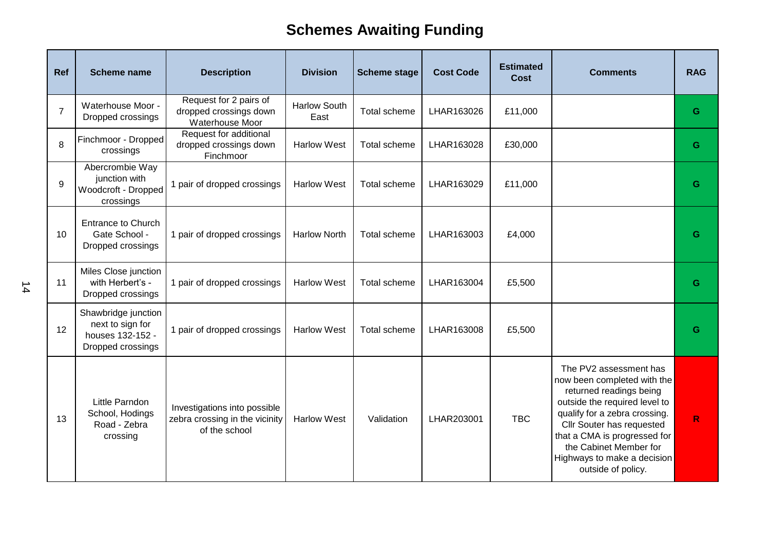| Ref            | <b>Scheme name</b>                                                               | <b>Description</b>                                                              | <b>Division</b>             | <b>Scheme stage</b> | <b>Cost Code</b> | <b>Estimated</b><br><b>Cost</b> | <b>Comments</b>                                                                                                                                                                                                                                                                                | <b>RAG</b> |
|----------------|----------------------------------------------------------------------------------|---------------------------------------------------------------------------------|-----------------------------|---------------------|------------------|---------------------------------|------------------------------------------------------------------------------------------------------------------------------------------------------------------------------------------------------------------------------------------------------------------------------------------------|------------|
| $\overline{7}$ | Waterhouse Moor -<br>Dropped crossings                                           | Request for 2 pairs of<br>dropped crossings down<br>Waterhouse Moor             | <b>Harlow South</b><br>East | Total scheme        | LHAR163026       | £11,000                         |                                                                                                                                                                                                                                                                                                | G          |
| 8              | Finchmoor - Dropped<br>crossings                                                 | Request for additional<br>dropped crossings down<br>Finchmoor                   | <b>Harlow West</b>          | Total scheme        | LHAR163028       | £30,000                         |                                                                                                                                                                                                                                                                                                | G          |
| 9              | Abercrombie Way<br>junction with<br>Woodcroft - Dropped<br>crossings             | 1 pair of dropped crossings                                                     | <b>Harlow West</b>          | Total scheme        | LHAR163029       | £11,000                         |                                                                                                                                                                                                                                                                                                | G          |
| 10             | <b>Entrance to Church</b><br>Gate School -<br>Dropped crossings                  | 1 pair of dropped crossings                                                     | <b>Harlow North</b>         | Total scheme        | LHAR163003       | £4,000                          |                                                                                                                                                                                                                                                                                                | G          |
| 11             | Miles Close junction<br>with Herbert's -<br>Dropped crossings                    | 1 pair of dropped crossings                                                     | <b>Harlow West</b>          | Total scheme        | LHAR163004       | £5,500                          |                                                                                                                                                                                                                                                                                                | G          |
| 12             | Shawbridge junction<br>next to sign for<br>houses 132-152 -<br>Dropped crossings | 1 pair of dropped crossings                                                     | <b>Harlow West</b>          | Total scheme        | LHAR163008       | £5,500                          |                                                                                                                                                                                                                                                                                                | G          |
| 13             | Little Parndon<br>School, Hodings<br>Road - Zebra<br>crossing                    | Investigations into possible<br>zebra crossing in the vicinity<br>of the school | <b>Harlow West</b>          | Validation          | LHAR203001       | <b>TBC</b>                      | The PV2 assessment has<br>now been completed with the<br>returned readings being<br>outside the required level to<br>qualify for a zebra crossing.<br>Cllr Souter has requested<br>that a CMA is progressed for<br>the Cabinet Member for<br>Highways to make a decision<br>outside of policy. | R          |